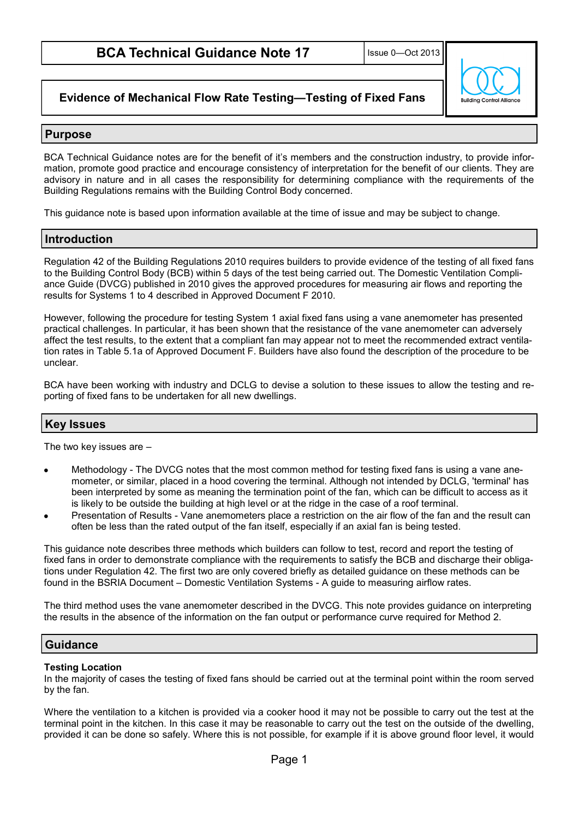**Ruilding Control Allio** 

# **Evidence of Mechanical Flow Rate Testing—Testing of Fixed Fans**

### **Purpose**

BCA Technical Guidance notes are for the benefit of it's members and the construction industry, to provide information, promote good practice and encourage consistency of interpretation for the benefit of our clients. They are advisory in nature and in all cases the responsibility for determining compliance with the requirements of the Building Regulations remains with the Building Control Body concerned.

This guidance note is based upon information available at the time of issue and may be subject to change.

## **Introduction**

Regulation 42 of the Building Regulations 2010 requires builders to provide evidence of the testing of all fixed fans to the Building Control Body (BCB) within 5 days of the test being carried out. The Domestic Ventilation Compliance Guide (DVCG) published in 2010 gives the approved procedures for measuring air flows and reporting the results for Systems 1 to 4 described in Approved Document F 2010.

However, following the procedure for testing System 1 axial fixed fans using a vane anemometer has presented practical challenges. In particular, it has been shown that the resistance of the vane anemometer can adversely affect the test results, to the extent that a compliant fan may appear not to meet the recommended extract ventilation rates in Table 5.1a of Approved Document F. Builders have also found the description of the procedure to be unclear.

BCA have been working with industry and DCLG to devise a solution to these issues to allow the testing and reporting of fixed fans to be undertaken for all new dwellings.

## **Key Issues**

The two key issues are –

- Methodology The DVCG notes that the most common method for testing fixed fans is using a vane anemometer, or similar, placed in a hood covering the terminal. Although not intended by DCLG, 'terminal' has been interpreted by some as meaning the termination point of the fan, which can be difficult to access as it is likely to be outside the building at high level or at the ridge in the case of a roof terminal.
- Presentation of Results Vane anemometers place a restriction on the air flow of the fan and the result can often be less than the rated output of the fan itself, especially if an axial fan is being tested.

This guidance note describes three methods which builders can follow to test, record and report the testing of fixed fans in order to demonstrate compliance with the requirements to satisfy the BCB and discharge their obligations under Regulation 42. The first two are only covered briefly as detailed guidance on these methods can be found in the BSRIA Document – Domestic Ventilation Systems - A guide to measuring airflow rates.

The third method uses the vane anemometer described in the DVCG. This note provides guidance on interpreting the results in the absence of the information on the fan output or performance curve required for Method 2.

# **Guidance**

#### **Testing Location**

In the majority of cases the testing of fixed fans should be carried out at the terminal point within the room served by the fan.

Where the ventilation to a kitchen is provided via a cooker hood it may not be possible to carry out the test at the terminal point in the kitchen. In this case it may be reasonable to carry out the test on the outside of the dwelling, provided it can be done so safely. Where this is not possible, for example if it is above ground floor level, it would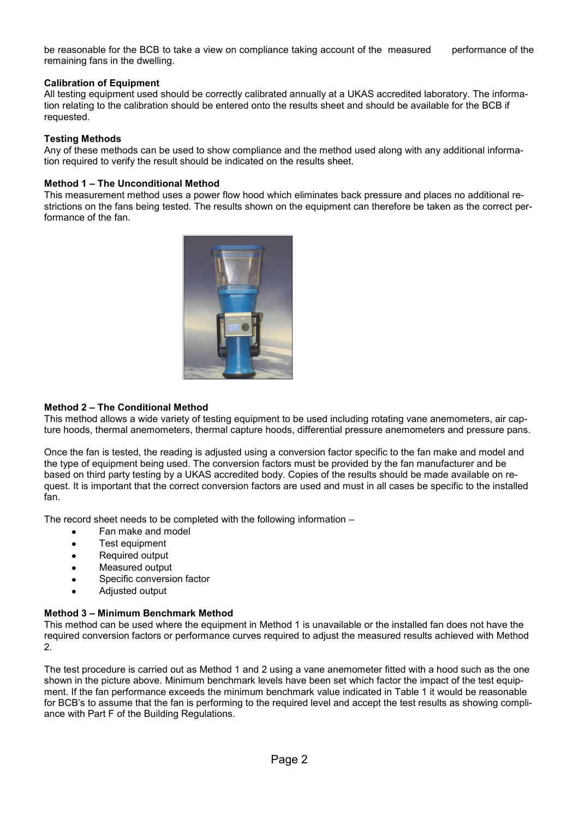be reasonable for the BCB to take a view on compliance taking account of the measured performance of the remaining fans in the dwelling.

#### **Calibration of Equipment**

All testing equipment used should be correctly calibrated annually at a UKAS accredited laboratory. The information relating to the calibration should be entered onto the results sheet and should be available for the BCB if requested.

#### **Testing Methods**

Any of these methods can be used to show compliance and the method used along with any additional information required to verify the result should be indicated on the results sheet.

#### **Method 1 – The Unconditional Method**

This measurement method uses a power flow hood which eliminates back pressure and places no additional restrictions on the fans being tested. The results shown on the equipment can therefore be taken as the correct performance of the fan.



#### **Method 2 – The Conditional Method**

This method allows a wide variety of testing equipment to be used including rotating vane anemometers, air capture hoods, thermal anemometers, thermal capture hoods, differential pressure anemometers and pressure pans.

Once the fan is tested, the reading is adjusted using a conversion factor specific to the fan make and model and the type of equipment being used. The conversion factors must be provided by the fan manufacturer and be based on third party testing by a UKAS accredited body. Copies of the results should be made available on request. It is important that the correct conversion factors are used and must in all cases be specific to the installed fan.

The record sheet needs to be completed with the following information –

- Fan make and model
- Test equipment  $\bullet$
- Required output  $\bullet$
- Measured output
- Specific conversion factor
- Adjusted output  $\blacktriangle$

#### **Method 3 – Minimum Benchmark Method**

This method can be used where the equipment in Method 1 is unavailable or the installed fan does not have the required conversion factors or performance curves required to adjust the measured results achieved with Method 2.

The test procedure is carried out as Method 1 and 2 using a vane anemometer fitted with a hood such as the one shown in the picture above. Minimum benchmark levels have been set which factor the impact of the test equipment. If the fan performance exceeds the minimum benchmark value indicated in Table 1 it would be reasonable for BCB's to assume that the fan is performing to the required level and accept the test results as showing compliance with Part F of the Building Regulations.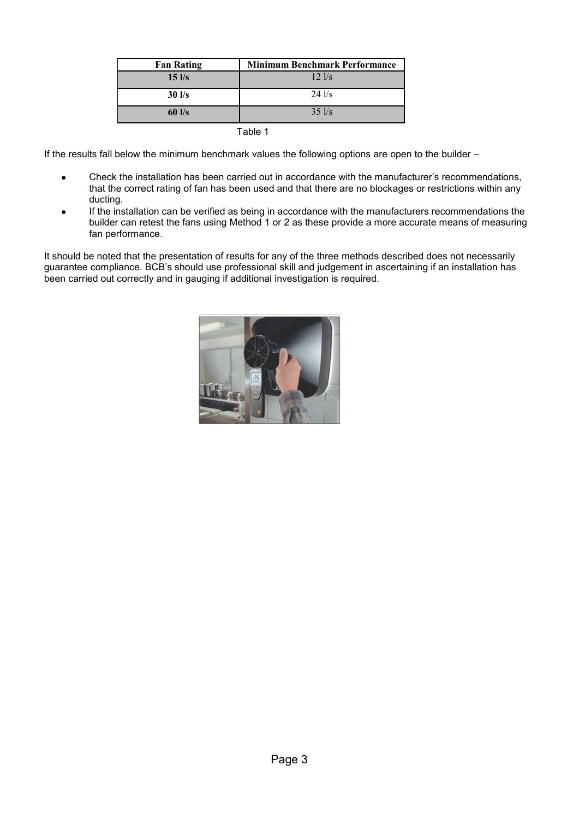| <b>Fan Rating</b> | <b>Minimum Benchmark Performance</b> |  |  |  |  |
|-------------------|--------------------------------------|--|--|--|--|
| $15$ $\text{Vs}$  | $12$ $1/s$                           |  |  |  |  |
| $30$ $\text{I/s}$ | $24$ $\text{I/s}$                    |  |  |  |  |
| $60$ $\text{Vs}$  | $35$ $\text{I/s}$                    |  |  |  |  |

Table 1

If the results fall below the minimum benchmark values the following options are open to the builder -

- Check the installation has been carried out in accordance with the manufacturer's recommendations,  $\bullet$ that the correct rating of fan has been used and that there are no blockages or restrictions within any ducting.
- If the installation can be verified as being in accordance with the manufacturers recommendations the builder can retest the fans using Method 1 or 2 as these provide a more accurate means of measuring fan performance.

It should be noted that the presentation of results for any of the three methods described does not necessarily guarantee compliance. BCB's should use professional skill and judgement in ascertaining if an installation has been carried out correctly and in gauging if additional investigation is required.